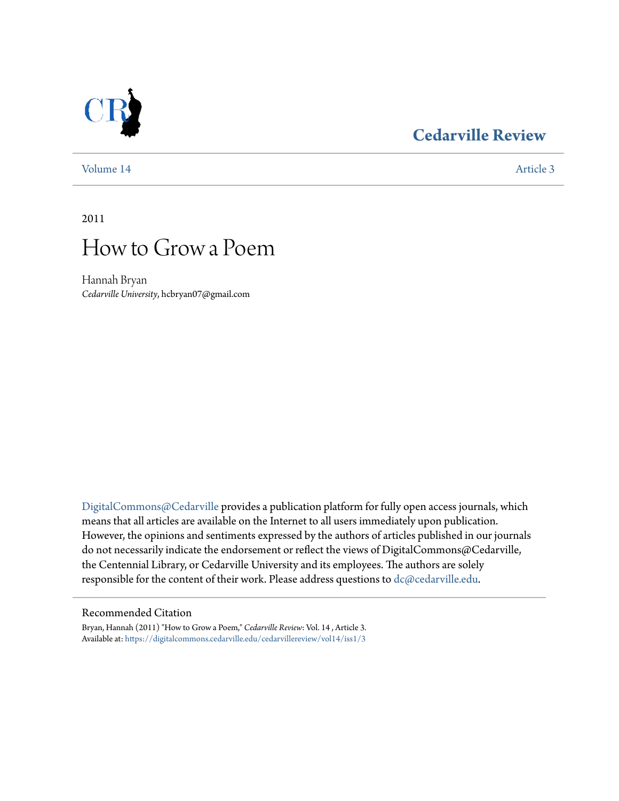# **[Cedarville Review](https://digitalcommons.cedarville.edu/cedarvillereview?utm_source=digitalcommons.cedarville.edu%2Fcedarvillereview%2Fvol14%2Fiss1%2F3&utm_medium=PDF&utm_campaign=PDFCoverPages)**



[Volume 14](https://digitalcommons.cedarville.edu/cedarvillereview/vol14?utm_source=digitalcommons.cedarville.edu%2Fcedarvillereview%2Fvol14%2Fiss1%2F3&utm_medium=PDF&utm_campaign=PDFCoverPages) [Article 3](https://digitalcommons.cedarville.edu/cedarvillereview/vol14/iss1/3?utm_source=digitalcommons.cedarville.edu%2Fcedarvillereview%2Fvol14%2Fiss1%2F3&utm_medium=PDF&utm_campaign=PDFCoverPages)

2011



Hannah Bryan *Cedarville University*, hcbryan07@gmail.com

[DigitalCommons@Cedarville](http://digitalcommons.cedarville.edu) provides a publication platform for fully open access journals, which means that all articles are available on the Internet to all users immediately upon publication. However, the opinions and sentiments expressed by the authors of articles published in our journals do not necessarily indicate the endorsement or reflect the views of DigitalCommons@Cedarville, the Centennial Library, or Cedarville University and its employees. The authors are solely responsible for the content of their work. Please address questions to [dc@cedarville.edu](mailto:dc@cedarville.edu).

### Recommended Citation

Bryan, Hannah (2011) "How to Grow a Poem," *Cedarville Review*: Vol. 14 , Article 3. Available at: [https://digitalcommons.cedarville.edu/cedarvillereview/vol14/iss1/3](https://digitalcommons.cedarville.edu/cedarvillereview/vol14/iss1/3?utm_source=digitalcommons.cedarville.edu%2Fcedarvillereview%2Fvol14%2Fiss1%2F3&utm_medium=PDF&utm_campaign=PDFCoverPages)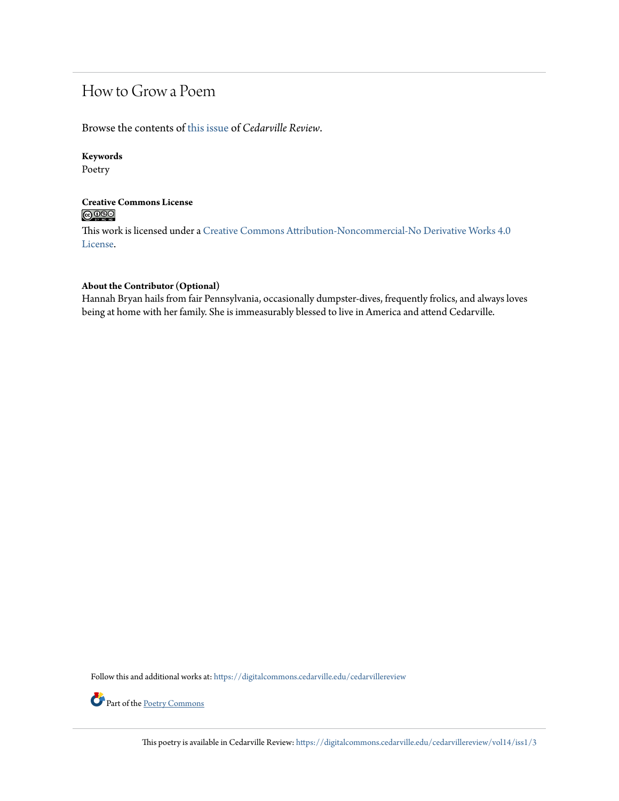# How to Grow a Poem

Browse the contents of [this issue](https://digitalcommons.cedarville.edu/cedarvillereview/vol14/iss1) of *Cedarville Review*.

### **Keywords**

Poetry

## **Creative Commons License**  $\bigcirc$   $\circ$

This work is licensed under a [Creative Commons Attribution-Noncommercial-No Derivative Works 4.0](http://creativecommons.org/licenses/by-nc-nd/4.0/) [License.](http://creativecommons.org/licenses/by-nc-nd/4.0/)

#### **About the Contributor (Optional)**

Hannah Bryan hails from fair Pennsylvania, occasionally dumpster-dives, frequently frolics, and always loves being at home with her family. She is immeasurably blessed to live in America and attend Cedarville.

Follow this and additional works at: [https://digitalcommons.cedarville.edu/cedarvillereview](https://digitalcommons.cedarville.edu/cedarvillereview?utm_source=digitalcommons.cedarville.edu%2Fcedarvillereview%2Fvol14%2Fiss1%2F3&utm_medium=PDF&utm_campaign=PDFCoverPages)



Part of the <u>[Poetry Commons](http://network.bepress.com/hgg/discipline/1153?utm_source=digitalcommons.cedarville.edu%2Fcedarvillereview%2Fvol14%2Fiss1%2F3&utm_medium=PDF&utm_campaign=PDFCoverPages)</u>

This poetry is available in Cedarville Review: [https://digitalcommons.cedarville.edu/cedarvillereview/vol14/iss1/3](https://digitalcommons.cedarville.edu/cedarvillereview/vol14/iss1/3?utm_source=digitalcommons.cedarville.edu%2Fcedarvillereview%2Fvol14%2Fiss1%2F3&utm_medium=PDF&utm_campaign=PDFCoverPages)